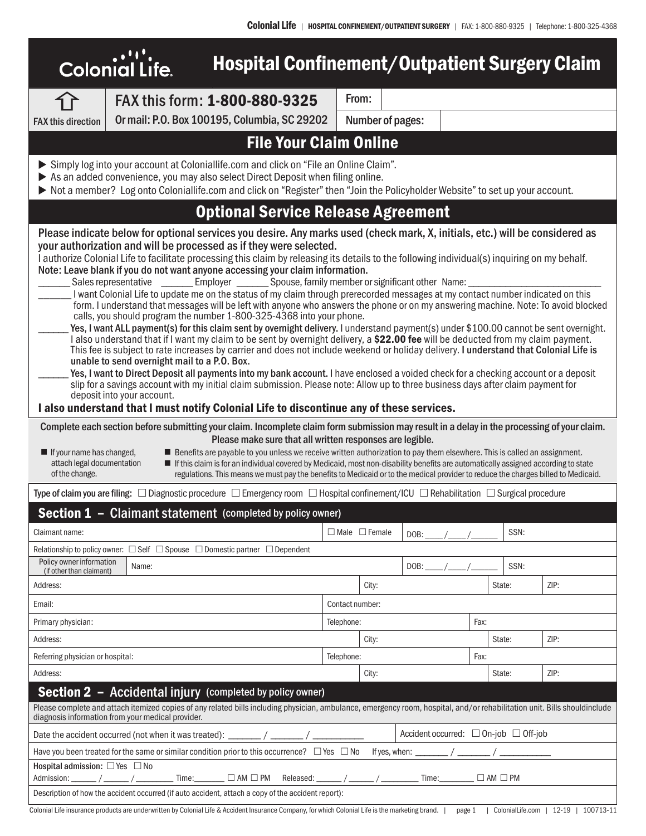| <b>Hospital Confinement/Outpatient Surgery Claim</b><br><b>Colonial Life.</b>                                                                                                                                                                                                                                                                                                                                                                                                                                                                                                                                                                                                                                                                                                                                                                                                                                                                                                                                                                                                                                                                                                                                                                                                                                                                                                                                                                                                                                                                                                                                                                                                                                                                                                 |                                                                                                                                                                 |                 |                    |      |      |        |      |  |
|-------------------------------------------------------------------------------------------------------------------------------------------------------------------------------------------------------------------------------------------------------------------------------------------------------------------------------------------------------------------------------------------------------------------------------------------------------------------------------------------------------------------------------------------------------------------------------------------------------------------------------------------------------------------------------------------------------------------------------------------------------------------------------------------------------------------------------------------------------------------------------------------------------------------------------------------------------------------------------------------------------------------------------------------------------------------------------------------------------------------------------------------------------------------------------------------------------------------------------------------------------------------------------------------------------------------------------------------------------------------------------------------------------------------------------------------------------------------------------------------------------------------------------------------------------------------------------------------------------------------------------------------------------------------------------------------------------------------------------------------------------------------------------|-----------------------------------------------------------------------------------------------------------------------------------------------------------------|-----------------|--------------------|------|------|--------|------|--|
|                                                                                                                                                                                                                                                                                                                                                                                                                                                                                                                                                                                                                                                                                                                                                                                                                                                                                                                                                                                                                                                                                                                                                                                                                                                                                                                                                                                                                                                                                                                                                                                                                                                                                                                                                                               | FAX this form: 1-800-880-9325                                                                                                                                   | From:           |                    |      |      |        |      |  |
| <b>FAX this direction</b>                                                                                                                                                                                                                                                                                                                                                                                                                                                                                                                                                                                                                                                                                                                                                                                                                                                                                                                                                                                                                                                                                                                                                                                                                                                                                                                                                                                                                                                                                                                                                                                                                                                                                                                                                     | Or mail: P.O. Box 100195, Columbia, SC 29202                                                                                                                    |                 | Number of pages:   |      |      |        |      |  |
|                                                                                                                                                                                                                                                                                                                                                                                                                                                                                                                                                                                                                                                                                                                                                                                                                                                                                                                                                                                                                                                                                                                                                                                                                                                                                                                                                                                                                                                                                                                                                                                                                                                                                                                                                                               | <b>File Your Claim Online</b>                                                                                                                                   |                 |                    |      |      |        |      |  |
| Simply log into your account at Coloniallife.com and click on "File an Online Claim".<br>As an added convenience, you may also select Direct Deposit when filing online.<br>> Not a member? Log onto Coloniallife.com and click on "Register" then "Join the Policyholder Website" to set up your account.                                                                                                                                                                                                                                                                                                                                                                                                                                                                                                                                                                                                                                                                                                                                                                                                                                                                                                                                                                                                                                                                                                                                                                                                                                                                                                                                                                                                                                                                    |                                                                                                                                                                 |                 |                    |      |      |        |      |  |
| <b>Optional Service Release Agreement</b>                                                                                                                                                                                                                                                                                                                                                                                                                                                                                                                                                                                                                                                                                                                                                                                                                                                                                                                                                                                                                                                                                                                                                                                                                                                                                                                                                                                                                                                                                                                                                                                                                                                                                                                                     |                                                                                                                                                                 |                 |                    |      |      |        |      |  |
| Please indicate below for optional services you desire. Any marks used (check mark, X, initials, etc.) will be considered as<br>your authorization and will be processed as if they were selected.<br>I authorize Colonial Life to facilitate processing this claim by releasing its details to the following individual(s) inquiring on my behalf.<br>Note: Leave blank if you do not want anyone accessing your claim information.<br>_Employer ____________ Spouse, family member or significant other Name:<br>Sales representative ______<br>I want Colonial Life to update me on the status of my claim through prerecorded messages at my contact number indicated on this<br>form. I understand that messages will be left with anyone who answers the phone or on my answering machine. Note: To avoid blocked<br>calls, you should program the number 1-800-325-4368 into your phone.<br>Yes, I want ALL payment(s) for this claim sent by overnight delivery. I understand payment(s) under \$100.00 cannot be sent overnight.<br>I also understand that if I want my claim to be sent by overnight delivery, a \$22.00 fee will be deducted from my claim payment.<br>This fee is subject to rate increases by carrier and does not include weekend or holiday delivery. I understand that Colonial Life is<br>unable to send overnight mail to a P.O. Box.<br>Yes, I want to Direct Deposit all payments into my bank account. I have enclosed a voided check for a checking account or a deposit<br>slip for a savings account with my initial claim submission. Please note: Allow up to three business days after claim payment for<br>deposit into your account.<br>I also understand that I must notify Colonial Life to discontinue any of these services. |                                                                                                                                                                 |                 |                    |      |      |        |      |  |
| Complete each section before submitting your claim. Incomplete claim form submission may result in a delay in the processing of your claim.<br>Please make sure that all written responses are legible.<br>Benefits are payable to you unless we receive written authorization to pay them elsewhere. This is called an assignment.<br>$\blacksquare$ If your name has changed,<br>attach legal documentation<br>If this claim is for an individual covered by Medicaid, most non-disability benefits are automatically assigned according to state<br>of the change.<br>regulations. This means we must pay the benefits to Medicaid or to the medical provider to reduce the charges billed to Medicaid.                                                                                                                                                                                                                                                                                                                                                                                                                                                                                                                                                                                                                                                                                                                                                                                                                                                                                                                                                                                                                                                                    |                                                                                                                                                                 |                 |                    |      |      |        |      |  |
|                                                                                                                                                                                                                                                                                                                                                                                                                                                                                                                                                                                                                                                                                                                                                                                                                                                                                                                                                                                                                                                                                                                                                                                                                                                                                                                                                                                                                                                                                                                                                                                                                                                                                                                                                                               | Type of claim you are filing: $\Box$ Diagnostic procedure $\Box$ Emergency room $\Box$ Hospital confinement/ICU $\Box$ Rehabilitation $\Box$ Surgical procedure |                 |                    |      |      |        |      |  |
|                                                                                                                                                                                                                                                                                                                                                                                                                                                                                                                                                                                                                                                                                                                                                                                                                                                                                                                                                                                                                                                                                                                                                                                                                                                                                                                                                                                                                                                                                                                                                                                                                                                                                                                                                                               | <b>Section 1 - Claimant statement (completed by policy owner)</b>                                                                                               |                 |                    |      |      |        |      |  |
| Claimant name:<br>$\Box$ Male $\Box$ Female<br>SSN:<br>DOB:                                                                                                                                                                                                                                                                                                                                                                                                                                                                                                                                                                                                                                                                                                                                                                                                                                                                                                                                                                                                                                                                                                                                                                                                                                                                                                                                                                                                                                                                                                                                                                                                                                                                                                                   |                                                                                                                                                                 |                 |                    |      |      |        |      |  |
|                                                                                                                                                                                                                                                                                                                                                                                                                                                                                                                                                                                                                                                                                                                                                                                                                                                                                                                                                                                                                                                                                                                                                                                                                                                                                                                                                                                                                                                                                                                                                                                                                                                                                                                                                                               | Relationship to policy owner: $\Box$ Self $\Box$ Spouse $\Box$ Domestic partner $\Box$ Dependent                                                                |                 |                    |      |      |        |      |  |
| Policy owner information<br>(if other than claimant)                                                                                                                                                                                                                                                                                                                                                                                                                                                                                                                                                                                                                                                                                                                                                                                                                                                                                                                                                                                                                                                                                                                                                                                                                                                                                                                                                                                                                                                                                                                                                                                                                                                                                                                          | Name:                                                                                                                                                           |                 |                    | DOB: |      | SSN:   |      |  |
| Address:                                                                                                                                                                                                                                                                                                                                                                                                                                                                                                                                                                                                                                                                                                                                                                                                                                                                                                                                                                                                                                                                                                                                                                                                                                                                                                                                                                                                                                                                                                                                                                                                                                                                                                                                                                      |                                                                                                                                                                 |                 | City:              |      |      | State: | ZIP: |  |
| Email:                                                                                                                                                                                                                                                                                                                                                                                                                                                                                                                                                                                                                                                                                                                                                                                                                                                                                                                                                                                                                                                                                                                                                                                                                                                                                                                                                                                                                                                                                                                                                                                                                                                                                                                                                                        |                                                                                                                                                                 | Contact number: |                    |      |      |        |      |  |
| Primary physician:                                                                                                                                                                                                                                                                                                                                                                                                                                                                                                                                                                                                                                                                                                                                                                                                                                                                                                                                                                                                                                                                                                                                                                                                                                                                                                                                                                                                                                                                                                                                                                                                                                                                                                                                                            |                                                                                                                                                                 | Telephone:      |                    |      | Fax: |        |      |  |
| Address:                                                                                                                                                                                                                                                                                                                                                                                                                                                                                                                                                                                                                                                                                                                                                                                                                                                                                                                                                                                                                                                                                                                                                                                                                                                                                                                                                                                                                                                                                                                                                                                                                                                                                                                                                                      |                                                                                                                                                                 |                 | City:              |      |      | State: | ZIP: |  |
|                                                                                                                                                                                                                                                                                                                                                                                                                                                                                                                                                                                                                                                                                                                                                                                                                                                                                                                                                                                                                                                                                                                                                                                                                                                                                                                                                                                                                                                                                                                                                                                                                                                                                                                                                                               | Referring physician or hospital:                                                                                                                                |                 | Telephone:<br>Fax: |      |      |        |      |  |
| Address:                                                                                                                                                                                                                                                                                                                                                                                                                                                                                                                                                                                                                                                                                                                                                                                                                                                                                                                                                                                                                                                                                                                                                                                                                                                                                                                                                                                                                                                                                                                                                                                                                                                                                                                                                                      |                                                                                                                                                                 |                 | City:              |      |      | State: | ZIP: |  |
| <b>Section 2 - Accidental injury (completed by policy owner)</b><br>Please complete and attach itemized copies of any related bills including physician, ambulance, emergency room, hospital, and/or rehabilitation unit. Bills shouldinclude<br>diagnosis information from your medical provider.                                                                                                                                                                                                                                                                                                                                                                                                                                                                                                                                                                                                                                                                                                                                                                                                                                                                                                                                                                                                                                                                                                                                                                                                                                                                                                                                                                                                                                                                            |                                                                                                                                                                 |                 |                    |      |      |        |      |  |
| Accident occurred: □ On-job □ Off-job                                                                                                                                                                                                                                                                                                                                                                                                                                                                                                                                                                                                                                                                                                                                                                                                                                                                                                                                                                                                                                                                                                                                                                                                                                                                                                                                                                                                                                                                                                                                                                                                                                                                                                                                         |                                                                                                                                                                 |                 |                    |      |      |        |      |  |
| Have you been treated for the same or similar condition prior to this occurrence? $\Box$ Yes $\Box$ No If yes, when: $\Box$ / $\Box$ / $\Box$ / $\Box$                                                                                                                                                                                                                                                                                                                                                                                                                                                                                                                                                                                                                                                                                                                                                                                                                                                                                                                                                                                                                                                                                                                                                                                                                                                                                                                                                                                                                                                                                                                                                                                                                        |                                                                                                                                                                 |                 |                    |      |      |        |      |  |
| Hospital admission: □ Yes □ No<br>Admission: ______/ ______/ ________ Time: _______ □ AM □ PM Released: ______/ _______/ ________ Time: _______ □ AM □ PM                                                                                                                                                                                                                                                                                                                                                                                                                                                                                                                                                                                                                                                                                                                                                                                                                                                                                                                                                                                                                                                                                                                                                                                                                                                                                                                                                                                                                                                                                                                                                                                                                     |                                                                                                                                                                 |                 |                    |      |      |        |      |  |
| Description of how the accident occurred (if auto accident, attach a copy of the accident report):                                                                                                                                                                                                                                                                                                                                                                                                                                                                                                                                                                                                                                                                                                                                                                                                                                                                                                                                                                                                                                                                                                                                                                                                                                                                                                                                                                                                                                                                                                                                                                                                                                                                            |                                                                                                                                                                 |                 |                    |      |      |        |      |  |
| Colonial Life insurance products are underwritten by Colonial Life & Accident Insurance Company, for which Colonial Life is the marketing brand.  <br>ColonialLife.com   12-19   100713-11<br>page 1                                                                                                                                                                                                                                                                                                                                                                                                                                                                                                                                                                                                                                                                                                                                                                                                                                                                                                                                                                                                                                                                                                                                                                                                                                                                                                                                                                                                                                                                                                                                                                          |                                                                                                                                                                 |                 |                    |      |      |        |      |  |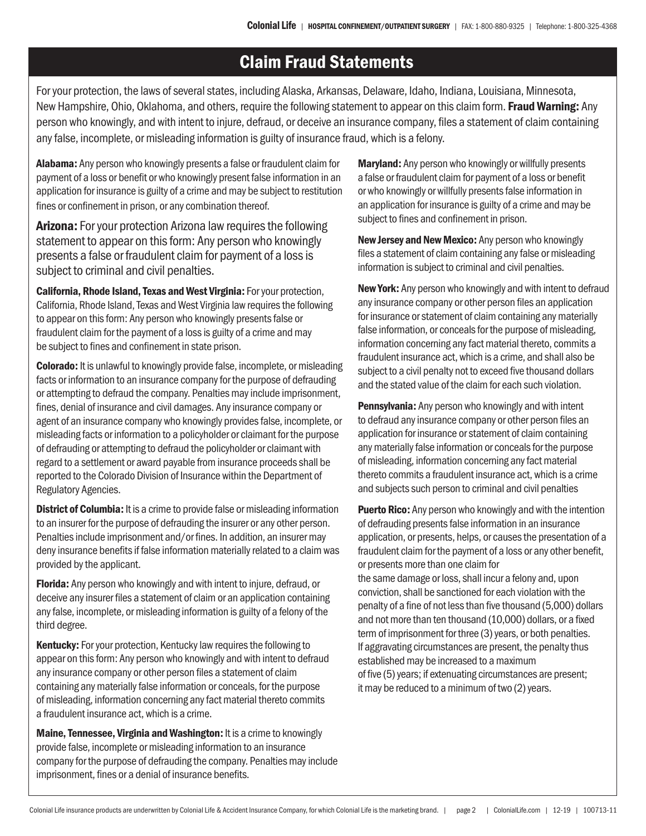## Claim Fraud Statements

For your protection, the laws of several states, including Alaska, Arkansas, Delaware, Idaho, Indiana, Louisiana, Minnesota, New Hampshire, Ohio, Oklahoma, and others, require the following statement to appear on this claim form. Fraud Warning: Any person who knowingly, and with intent to injure, defraud, or deceive an insurance company, files a statement of claim containing any false, incomplete, or misleading information is guilty of insurance fraud, which is a felony.

Alabama: Any person who knowingly presents a false or fraudulent claim for payment of a loss or benefit or who knowingly present false information in an application for insurance is guilty of a crime and may be subject to restitution fines or confinement in prison, or any combination thereof.

Arizona: For your protection Arizona law requires the following statement to appear on this form: Any person who knowingly presents a false or fraudulent claim for payment of a loss is subject to criminal and civil penalties.

California, Rhode Island, Texas and West Virginia: For your protection, California, Rhode Island, Texas and West Virginia law requires the following to appear on this form: Any person who knowingly presents false or fraudulent claim for the payment of a loss is guilty of a crime and may be subject to fines and confinement in state prison.

Colorado: It is unlawful to knowingly provide false, incomplete, or misleading facts or information to an insurance company for the purpose of defrauding or attempting to defraud the company. Penalties may include imprisonment, fines, denial of insurance and civil damages. Any insurance company or agent of an insurance company who knowingly provides false, incomplete, or misleading facts or information to a policyholder or claimant for the purpose of defrauding or attempting to defraud the policyholder or claimant with regard to a settlement or award payable from insurance proceeds shall be reported to the Colorado Division of Insurance within the Department of Regulatory Agencies.

**District of Columbia:** It is a crime to provide false or misleading information to an insurer for the purpose of defrauding the insurer or any other person. Penalties include imprisonment and/or fines. In addition, an insurer may deny insurance benefits if false information materially related to a claim was provided by the applicant.

**Florida:** Any person who knowingly and with intent to injure, defraud, or deceive any insurer files a statement of claim or an application containing any false, incomplete, or misleading information is guilty of a felony of the third degree.

**Kentucky:** For your protection, Kentucky law requires the following to appear on this form: Any person who knowingly and with intent to defraud any insurance company or other person files a statement of claim containing any materially false information or conceals, for the purpose of misleading, information concerning any fact material thereto commits a fraudulent insurance act, which is a crime.

Maine, Tennessee, Virginia and Washington: It is a crime to knowingly provide false, incomplete or misleading information to an insurance company for the purpose of defrauding the company. Penalties may include imprisonment, fines or a denial of insurance benefits.

**Maryland:** Any person who knowingly or willfully presents a false or fraudulent claim for payment of a loss or benefit or who knowingly or willfully presents false information in an application for insurance is guilty of a crime and may be subject to fines and confinement in prison.

New Jersey and New Mexico: Any person who knowingly files a statement of claim containing any false or misleading information is subject to criminal and civil penalties.

New York: Any person who knowingly and with intent to defraud any insurance company or other person files an application for insurance or statement of claim containing any materially false information, or conceals for the purpose of misleading, information concerning any fact material thereto, commits a fraudulent insurance act, which is a crime, and shall also be subject to a civil penalty not to exceed five thousand dollars and the stated value of the claim for each such violation.

**Pennsylvania:** Any person who knowingly and with intent to defraud any insurance company or other person files an application for insurance or statement of claim containing any materially false information or conceals for the purpose of misleading, information concerning any fact material thereto commits a fraudulent insurance act, which is a crime and subjects such person to criminal and civil penalties

**Puerto Rico:** Any person who knowingly and with the intention of defrauding presents false information in an insurance application, or presents, helps, or causes the presentation of a fraudulent claim for the payment of a loss or any other benefit, or presents more than one claim for

the same damage or loss, shall incur a felony and, upon conviction, shall be sanctioned for each violation with the penalty of a fine of not less than five thousand (5,000) dollars and not more than ten thousand (10,000) dollars, or a fixed term of imprisonment for three (3) years, or both penalties. If aggravating circumstances are present, the penalty thus established may be increased to a maximum of five (5) years; if extenuating circumstances are present; it may be reduced to a minimum of two (2) years.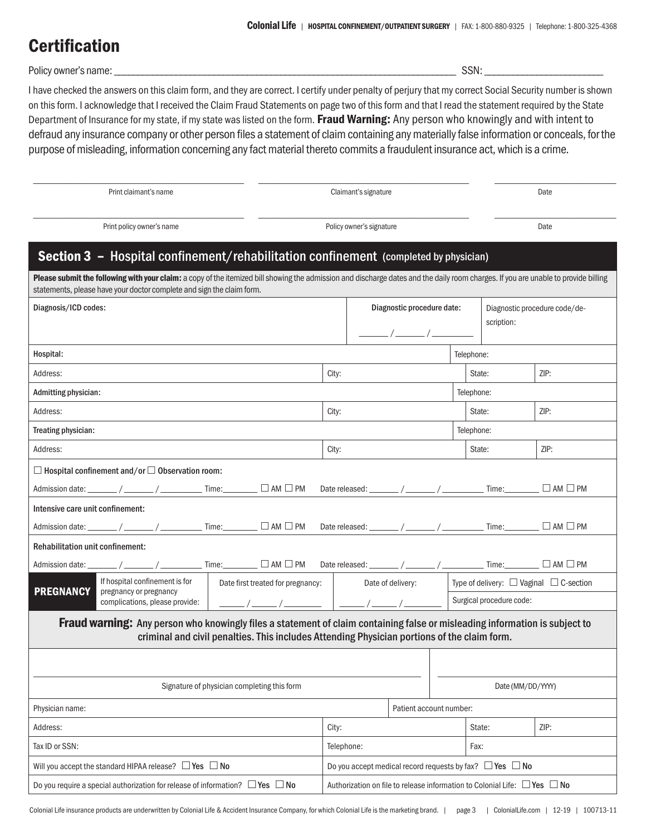## Certification

Policy owner's name: \_\_\_\_\_\_\_\_\_\_\_\_\_\_\_\_\_\_\_\_\_\_\_\_\_\_\_\_\_\_\_\_\_\_\_\_\_\_\_\_\_\_\_\_\_\_\_\_\_\_\_\_\_\_\_\_\_\_\_\_\_\_\_\_\_\_\_\_\_\_\_\_ SSN: \_\_\_\_\_\_\_\_\_\_\_\_\_\_\_\_\_\_\_\_\_\_\_\_\_

I have checked the answers on this claim form, and they are correct. I certify under penalty of perjury that my correct Social Security number is shown on this form. I acknowledge that I received the Claim Fraud Statements on page two of this form and that I read the statement required by the State Department of Insurance for my state, if my state was listed on the form. Fraud Warning: Any person who knowingly and with intent to defraud any insurance company or other person files a statement of claim containing any materially false information or conceals, for the purpose of misleading, information concerning any fact material thereto commits a fraudulent insurance act, which is a crime.

| Print claimant's name                                                                                                                                                                                                             |                                                          |                                |                                        | Claimant's signature                                                                                                                                |                   |                                                                    |                         |                | Date                          |                |                                                                                                                                                                                     |  |
|-----------------------------------------------------------------------------------------------------------------------------------------------------------------------------------------------------------------------------------|----------------------------------------------------------|--------------------------------|----------------------------------------|-----------------------------------------------------------------------------------------------------------------------------------------------------|-------------------|--------------------------------------------------------------------|-------------------------|----------------|-------------------------------|----------------|-------------------------------------------------------------------------------------------------------------------------------------------------------------------------------------|--|
| Print policy owner's name                                                                                                                                                                                                         |                                                          |                                |                                        | Policy owner's signature                                                                                                                            |                   |                                                                    |                         |                | Date                          |                |                                                                                                                                                                                     |  |
|                                                                                                                                                                                                                                   |                                                          |                                |                                        | <b>Section 3 - Hospital confinement/rehabilitation confinement</b> (completed by physician)                                                         |                   |                                                                    |                         |                |                               |                |                                                                                                                                                                                     |  |
|                                                                                                                                                                                                                                   |                                                          |                                |                                        |                                                                                                                                                     |                   |                                                                    |                         |                |                               |                | Please submit the following with your claim: a copy of the itemized bill showing the admission and discharge dates and the daily room charges. If you are unable to provide billing |  |
| statements, please have your doctor complete and sign the claim form.                                                                                                                                                             |                                                          |                                |                                        |                                                                                                                                                     |                   |                                                                    |                         |                |                               |                |                                                                                                                                                                                     |  |
| Diagnosis/ICD codes:                                                                                                                                                                                                              |                                                          |                                |                                        | Diagnostic procedure date:<br>$\frac{1}{\sqrt{1-\frac{1}{2}}}\left( \frac{1}{\sqrt{1-\frac{1}{2}}}\right)$                                          |                   |                                                                    |                         | scription:     | Diagnostic procedure code/de- |                |                                                                                                                                                                                     |  |
| Hospital:                                                                                                                                                                                                                         |                                                          |                                |                                        |                                                                                                                                                     |                   |                                                                    |                         |                | Telephone:                    |                |                                                                                                                                                                                     |  |
| Address:                                                                                                                                                                                                                          |                                                          |                                |                                        |                                                                                                                                                     |                   | City:                                                              |                         |                |                               | ZIP:<br>State: |                                                                                                                                                                                     |  |
| Admitting physician:                                                                                                                                                                                                              |                                                          |                                |                                        |                                                                                                                                                     |                   |                                                                    |                         |                |                               | Telephone:     |                                                                                                                                                                                     |  |
| Address:                                                                                                                                                                                                                          |                                                          |                                |                                        |                                                                                                                                                     | City:             |                                                                    |                         | State:         |                               | ZIP:           |                                                                                                                                                                                     |  |
| Treating physician:                                                                                                                                                                                                               |                                                          |                                |                                        |                                                                                                                                                     |                   |                                                                    |                         |                | Telephone:                    |                |                                                                                                                                                                                     |  |
| Address:                                                                                                                                                                                                                          |                                                          |                                |                                        |                                                                                                                                                     | City:             |                                                                    |                         | State:         |                               | ZIP:           |                                                                                                                                                                                     |  |
| $\Box$ Hospital confinement and/or $\Box$ Observation room:                                                                                                                                                                       |                                                          |                                |                                        |                                                                                                                                                     |                   |                                                                    |                         |                |                               |                |                                                                                                                                                                                     |  |
|                                                                                                                                                                                                                                   |                                                          |                                |                                        | Admission date: _______/ ________/ ________________ Time: ________ □ AM □ PM Date released: _______ / ________/ __________ Time: ________ □ AM □ PM |                   |                                                                    |                         |                |                               |                |                                                                                                                                                                                     |  |
| Intensive care unit confinement:                                                                                                                                                                                                  |                                                          |                                |                                        |                                                                                                                                                     |                   |                                                                    |                         |                |                               |                |                                                                                                                                                                                     |  |
|                                                                                                                                                                                                                                   |                                                          |                                |                                        |                                                                                                                                                     |                   |                                                                    |                         |                |                               |                |                                                                                                                                                                                     |  |
| <b>Rehabilitation unit confinement:</b>                                                                                                                                                                                           |                                                          |                                |                                        |                                                                                                                                                     |                   |                                                                    |                         |                |                               |                |                                                                                                                                                                                     |  |
|                                                                                                                                                                                                                                   |                                                          |                                |                                        |                                                                                                                                                     |                   |                                                                    |                         |                |                               |                |                                                                                                                                                                                     |  |
| <b>PREGNANCY</b>                                                                                                                                                                                                                  | If hospital confinement is for<br>pregnancy or pregnancy |                                | Date first treated for pregnancy: $\ $ |                                                                                                                                                     |                   | Date of delivery:                                                  |                         |                |                               |                | Type of delivery: $\Box$ Vaginal $\Box$ C-section                                                                                                                                   |  |
|                                                                                                                                                                                                                                   |                                                          | complications, please provide: |                                        |                                                                                                                                                     |                   |                                                                    |                         |                | Surgical procedure code:      |                |                                                                                                                                                                                     |  |
| <b>Fraud warning:</b> Any person who knowingly files a statement of claim containing false or misleading information is subject to<br>criminal and civil penalties. This includes Attending Physician portions of the claim form. |                                                          |                                |                                        |                                                                                                                                                     |                   |                                                                    |                         |                |                               |                |                                                                                                                                                                                     |  |
|                                                                                                                                                                                                                                   |                                                          |                                |                                        |                                                                                                                                                     |                   |                                                                    |                         |                |                               |                |                                                                                                                                                                                     |  |
| Signature of physician completing this form                                                                                                                                                                                       |                                                          |                                |                                        |                                                                                                                                                     | Date (MM/DD/YYYY) |                                                                    |                         |                |                               |                |                                                                                                                                                                                     |  |
| Physician name:                                                                                                                                                                                                                   |                                                          |                                |                                        |                                                                                                                                                     |                   |                                                                    | Patient account number: |                |                               |                |                                                                                                                                                                                     |  |
| Address:                                                                                                                                                                                                                          |                                                          |                                |                                        | City:                                                                                                                                               |                   |                                                                    |                         | State:<br>ZIP: |                               |                |                                                                                                                                                                                     |  |
| Tax ID or SSN:                                                                                                                                                                                                                    |                                                          |                                |                                        |                                                                                                                                                     |                   | Telephone:<br>Fax:                                                 |                         |                |                               |                |                                                                                                                                                                                     |  |
| Will you accept the standard HIPAA release? $\Box$ Yes $\Box$ No                                                                                                                                                                  |                                                          |                                |                                        |                                                                                                                                                     |                   | Do you accept medical record requests by fax? $\Box$ Yes $\Box$ No |                         |                |                               |                |                                                                                                                                                                                     |  |
|                                                                                                                                                                                                                                   |                                                          |                                |                                        |                                                                                                                                                     |                   |                                                                    |                         |                |                               |                |                                                                                                                                                                                     |  |

Do you require a special authorization for release of information?  $\Box$  Yes  $\Box$  No  $\Box$  Authorization on file to release information to Colonial Life:  $\Box$  Yes  $\Box$  No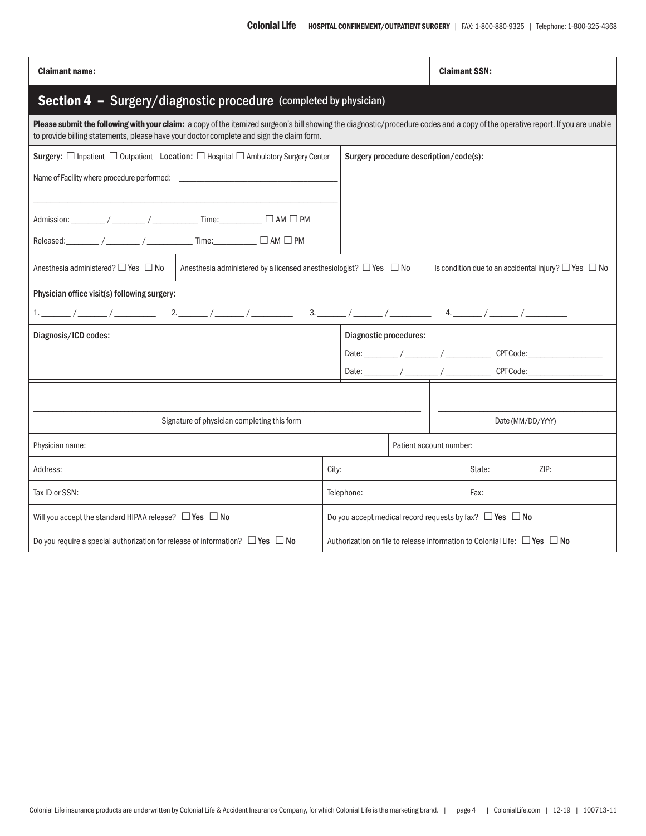| <b>Claimant name:</b>                                                                                                                                                                                                                                                       |                                                                |                                                                    | <b>Claimant SSN:</b> |                                                                                     |      |  |  |
|-----------------------------------------------------------------------------------------------------------------------------------------------------------------------------------------------------------------------------------------------------------------------------|----------------------------------------------------------------|--------------------------------------------------------------------|----------------------|-------------------------------------------------------------------------------------|------|--|--|
| Section 4 - Surgery/diagnostic procedure (completed by physician)                                                                                                                                                                                                           |                                                                |                                                                    |                      |                                                                                     |      |  |  |
| Please submit the following with your claim: a copy of the itemized surgeon's bill showing the diagnostic/procedure codes and a copy of the operative report. If you are unable<br>to provide billing statements, please have your doctor complete and sign the claim form. |                                                                |                                                                    |                      |                                                                                     |      |  |  |
| Surgery: □ Inpatient □ Outpatient Location: □ Hospital □ Ambulatory Surgery Center                                                                                                                                                                                          |                                                                | Surgery procedure description/code(s):                             |                      |                                                                                     |      |  |  |
|                                                                                                                                                                                                                                                                             |                                                                |                                                                    |                      |                                                                                     |      |  |  |
| Admission: ________ / _______ / _____________ Time: __________ □ AM □ PM                                                                                                                                                                                                    |                                                                |                                                                    |                      |                                                                                     |      |  |  |
| Released:________ / _______ / _____________ Time:__________ □ AM □ PM                                                                                                                                                                                                       |                                                                |                                                                    |                      |                                                                                     |      |  |  |
| Anesthesia administered? $\Box$ Yes $\Box$ No<br>Anesthesia administered by a licensed anesthesiologist? $\Box$ Yes $\Box$ No                                                                                                                                               | Is condition due to an accidental injury? $\Box$ Yes $\Box$ No |                                                                    |                      |                                                                                     |      |  |  |
| Physician office visit(s) following surgery:                                                                                                                                                                                                                                |                                                                |                                                                    |                      |                                                                                     |      |  |  |
|                                                                                                                                                                                                                                                                             |                                                                |                                                                    |                      |                                                                                     |      |  |  |
| Diagnosis/ICD codes:                                                                                                                                                                                                                                                        | Diagnostic procedures:                                         |                                                                    |                      |                                                                                     |      |  |  |
|                                                                                                                                                                                                                                                                             |                                                                | Date: $\frac{1}{2}$ / $\frac{1}{2}$ / $\frac{1}{2}$ CPT Code:      |                      |                                                                                     |      |  |  |
|                                                                                                                                                                                                                                                                             |                                                                |                                                                    |                      | Date: ________/ ________ / _________ CPTCode:______                                 |      |  |  |
|                                                                                                                                                                                                                                                                             |                                                                |                                                                    |                      |                                                                                     |      |  |  |
| Signature of physician completing this form                                                                                                                                                                                                                                 |                                                                | Date (MM/DD/YYYY)                                                  |                      |                                                                                     |      |  |  |
| Physician name:                                                                                                                                                                                                                                                             |                                                                | Patient account number:                                            |                      |                                                                                     |      |  |  |
| Address:                                                                                                                                                                                                                                                                    | City:                                                          |                                                                    |                      | State:                                                                              | ZIP: |  |  |
| Tax ID or SSN:                                                                                                                                                                                                                                                              | Telephone:                                                     | Fax:                                                               |                      |                                                                                     |      |  |  |
| Will you accept the standard HIPAA release? $\Box$ Yes $\Box$ No                                                                                                                                                                                                            |                                                                | Do you accept medical record requests by fax? $\Box$ Yes $\Box$ No |                      |                                                                                     |      |  |  |
| Do you require a special authorization for release of information? $\Box$ Yes $\Box$ No                                                                                                                                                                                     |                                                                |                                                                    |                      | Authorization on file to release information to Colonial Life: $\Box$ Yes $\Box$ No |      |  |  |